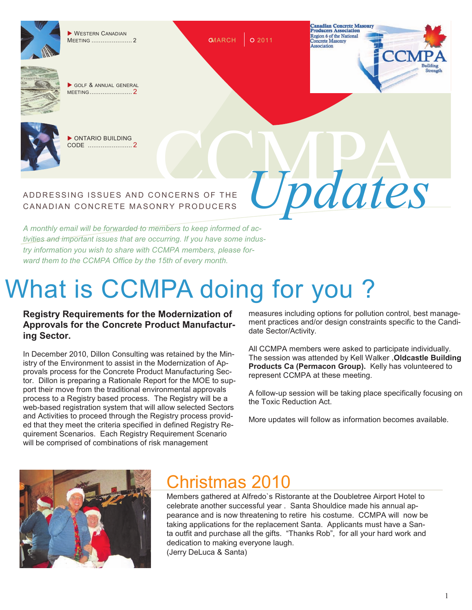

WESTERN CANADIAN MEETING ...................... 2

GOLF & ANNUAL GENERAL MEETING ....................... 2



 ONTARIO BUILDING CODE ........................ 2

### ADDRESSING ISSUES AND CONCERNS OF THE CANADIAN CONCRETE MASONRY PRODUCERS

*A monthly email will be forwarded to members to keep informed of activities and important issues that are occurring. If you have some industry information you wish to share with CCMPA members, please forward them to the CCMPA Office by the 15th of every month.*

# What is CCMPA doing for you ?

 $QMARCH$  0 2011

#### **Registry Requirements for the Modernization of Approvals for the Concrete Product Manufacturing Sector.**

In December 2010, Dillon Consulting was retained by the Ministry of the Environment to assist in the Modernization of Approvals process for the Concrete Product Manufacturing Sector. Dillon is preparing a Rationale Report for the MOE to support their move from the traditional environmental approvals process to a Registry based process. The Registry will be a web-based registration system that will allow selected Sectors and Activities to proceed through the Registry process provided that they meet the criteria specified in defined Registry Requirement Scenarios. Each Registry Requirement Scenario will be comprised of combinations of risk management

measures including options for pollution control, best management practices and/or design constraints specific to the Candidate Sector/Activity.

Updates

**Canadian Concrete Masonry**<br>Producers Association Region 6 of the National **ncrete Masonry** Association

'C'N

All CCMPA members were asked to participate individually. The session was attended by Kell Walker ,**Oldcastle Building Products Ca (Permacon Group).** Kelly has volunteered to represent CCMPA at these meeting.

A follow-up session will be taking place specifically focusing on the Toxic Reduction Act.

More updates will follow as information becomes available.



## Christmas 2010

Members gathered at Alfredo`s Ristorante at the Doubletree Airport Hotel to celebrate another successful year . Santa Shouldice made his annual appearance and is now threatening to retire his costume. CCMPA will now be taking applications for the replacement Santa. Applicants must have a Santa outfit and purchase all the gifts. "Thanks Rob", for all your hard work and dedication to making everyone laugh. (Jerry DeLuca & Santa)